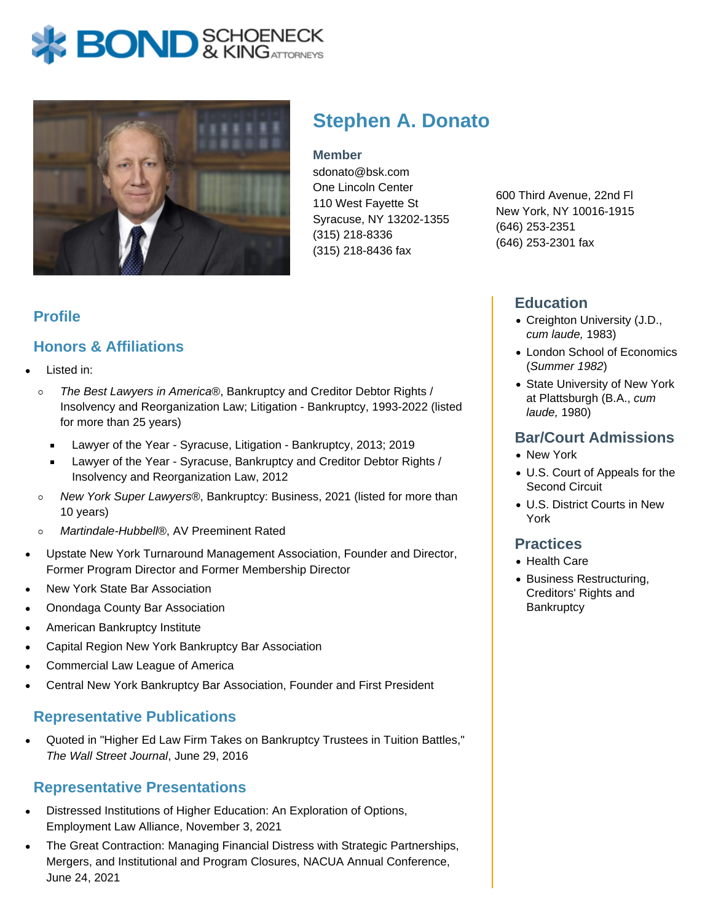



# **Stephen A. Donato**

#### **Member**

sdonato@bsk.com One Lincoln Center 110 West Fayette St Syracuse, NY 13202-1355 (315) 218-8336 (315) 218-8436 fax

600 Third Avenue, 22nd Fl New York, NY 10016-1915 (646) 253-2351 (646) 253-2301 fax

### **Education**

- Creighton University (J.D., cum laude, 1983)
- London School of Economics (Summer 1982)
- State University of New York at Plattsburgh (B.A., cum laude, 1980)

#### **Bar/Court Admissions**

- New York
- U.S. Court of Appeals for the Second Circuit
- U.S. District Courts in New York

#### **Practices**

- Health Care
- Business Restructuring, Creditors' Rights and **Bankruptcy**

## **Profile**

## **Honors & Affiliations**

- Listed in:
	- $\circ$ The Best Lawyers in America®, Bankruptcy and Creditor Debtor Rights / Insolvency and Reorganization Law; Litigation - Bankruptcy, 1993-2022 (listed for more than 25 years)
		- Lawyer of the Year Syracuse, Litigation Bankruptcy, 2013; 2019
		- Lawyer of the Year Syracuse, Bankruptcy and Creditor Debtor Rights / Insolvency and Reorganization Law, 2012
	- New York Super Lawyers®, Bankruptcy: Business, 2021 (listed for more than  $\circ$ 10 years)
	- Martindale-Hubbell®, AV Preeminent Rated  $\circ$
- Upstate New York Turnaround Management Association, Founder and Director, Former Program Director and Former Membership Director
- New York State Bar Association
- Onondaga County Bar Association
- American Bankruptcy Institute
- Capital Region New York Bankruptcy Bar Association
- Commercial Law League of America
- Central New York Bankruptcy Bar Association, Founder and First President

## **Representative Publications**

Quoted in "Higher Ed Law Firm Takes on Bankruptcy Trustees in Tuition Battles," The Wall Street Journal, June 29, 2016

## **Representative Presentations**

- Distressed Institutions of Higher Education: An Exploration of Options, Employment Law Alliance, November 3, 2021
- The Great Contraction: Managing Financial Distress with Strategic Partnerships, Mergers, and Institutional and Program Closures, NACUA Annual Conference, June 24, 2021